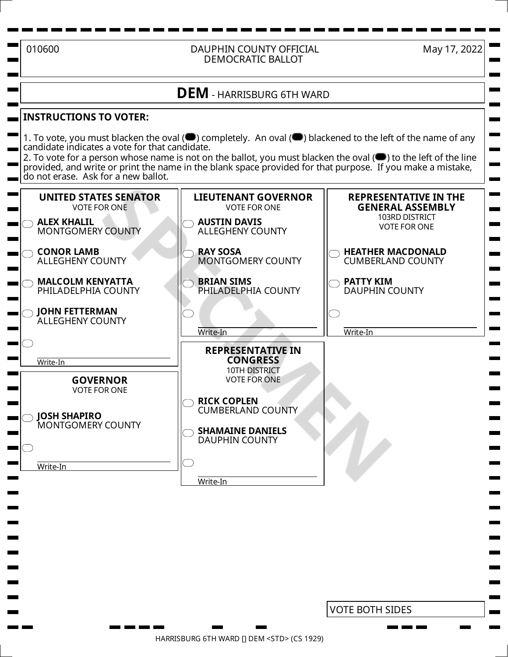## 010600 DAUPHIN COUNTY OFFICIAL DEMOCRATIC BALLOT

May 17, 2022

## **DEM** - HARRISBURG 6TH WARD

## **INSTRUCTIONS TO VOTER:**

1. To vote, you must blacken the oval ( $\blacksquare$ ) completely. An oval ( $\blacksquare$ ) blackened to the left of the name of any candidate indicates a vote for that candidate.

2. To vote for a person whose name is not on the ballot, you must blacken the oval  $($ **)** to the left of the line provided, and write or print the name in the blank space provided for that purpose. If you make a mistake, do not erase. Ask for a new ballot.